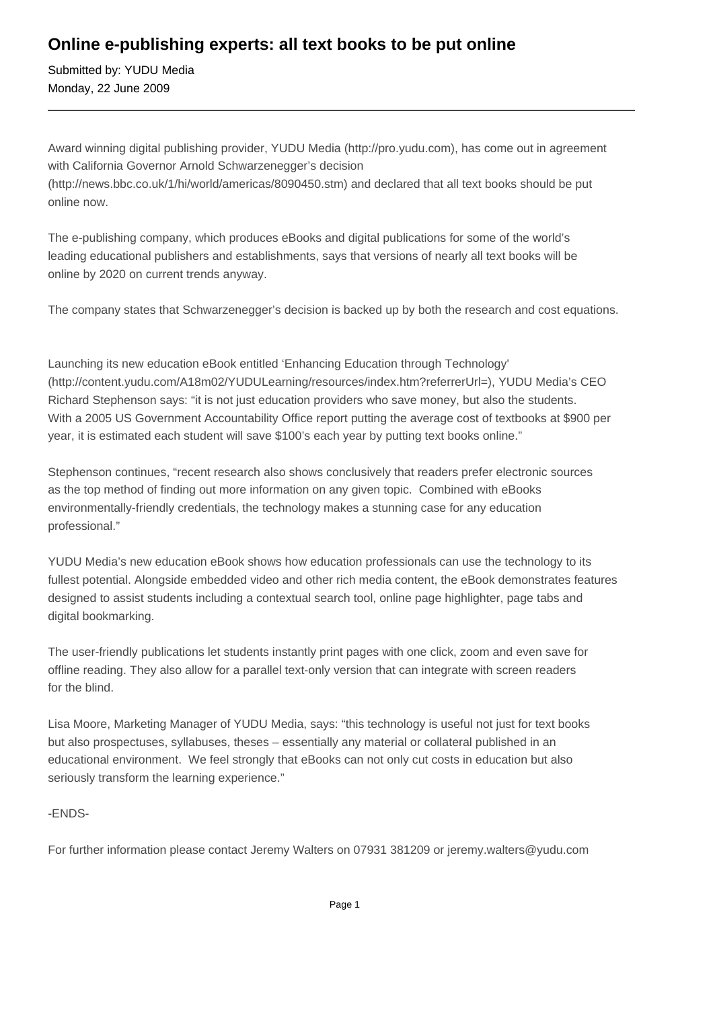# **Online e-publishing experts: all text books to be put online**

Submitted by: YUDU Media Monday, 22 June 2009

Award winning digital publishing provider, YUDU Media (http://pro.yudu.com), has come out in agreement with California Governor Arnold Schwarzenegger's decision (http://news.bbc.co.uk/1/hi/world/americas/8090450.stm) and declared that all text books should be put online now.

The e-publishing company, which produces eBooks and digital publications for some of the world's leading educational publishers and establishments, says that versions of nearly all text books will be online by 2020 on current trends anyway.

The company states that Schwarzenegger's decision is backed up by both the research and cost equations.

Launching its new education eBook entitled 'Enhancing Education through Technology' (http://content.yudu.com/A18m02/YUDULearning/resources/index.htm?referrerUrl=), YUDU Media's CEO Richard Stephenson says: "it is not just education providers who save money, but also the students. With a 2005 US Government Accountability Office report putting the average cost of textbooks at \$900 per year, it is estimated each student will save \$100's each year by putting text books online."

Stephenson continues, "recent research also shows conclusively that readers prefer electronic sources as the top method of finding out more information on any given topic. Combined with eBooks environmentally-friendly credentials, the technology makes a stunning case for any education professional."

YUDU Media's new education eBook shows how education professionals can use the technology to its fullest potential. Alongside embedded video and other rich media content, the eBook demonstrates features designed to assist students including a contextual search tool, online page highlighter, page tabs and digital bookmarking.

The user-friendly publications let students instantly print pages with one click, zoom and even save for offline reading. They also allow for a parallel text-only version that can integrate with screen readers for the blind.

Lisa Moore, Marketing Manager of YUDU Media, says: "this technology is useful not just for text books but also prospectuses, syllabuses, theses – essentially any material or collateral published in an educational environment. We feel strongly that eBooks can not only cut costs in education but also seriously transform the learning experience."

-ENDS-

For further information please contact Jeremy Walters on 07931 381209 or jeremy.walters@yudu.com